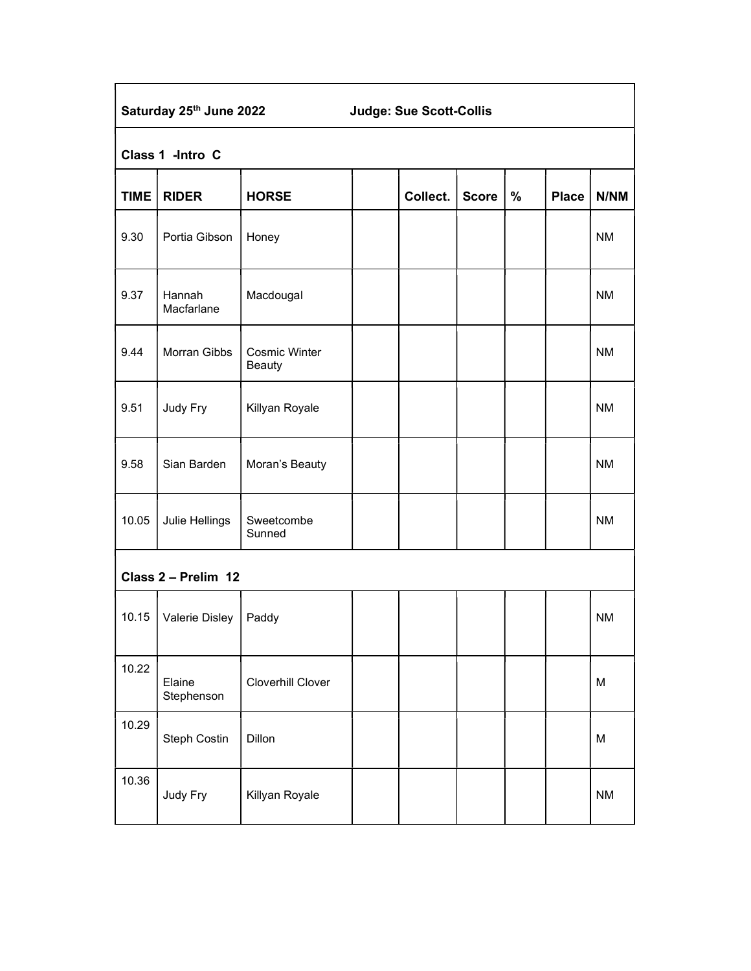| Saturday 25th June 2022<br><b>Judge: Sue Scott-Collis</b> |                      |                                       |  |          |              |      |              |             |  |
|-----------------------------------------------------------|----------------------|---------------------------------------|--|----------|--------------|------|--------------|-------------|--|
| Class 1 -Intro C                                          |                      |                                       |  |          |              |      |              |             |  |
| <b>TIME</b>                                               | <b>RIDER</b>         | <b>HORSE</b>                          |  | Collect. | <b>Score</b> | $\%$ | <b>Place</b> | <b>N/NM</b> |  |
| 9.30                                                      | Portia Gibson        | Honey                                 |  |          |              |      |              | <b>NM</b>   |  |
| 9.37                                                      | Hannah<br>Macfarlane | Macdougal                             |  |          |              |      |              | <b>NM</b>   |  |
| 9.44                                                      | Morran Gibbs         | <b>Cosmic Winter</b><br><b>Beauty</b> |  |          |              |      |              | <b>NM</b>   |  |
| 9.51                                                      | Judy Fry             | Killyan Royale                        |  |          |              |      |              | <b>NM</b>   |  |
| 9.58                                                      | Sian Barden          | Moran's Beauty                        |  |          |              |      |              | <b>NM</b>   |  |
| 10.05                                                     | Julie Hellings       | Sweetcombe<br>Sunned                  |  |          |              |      |              | <b>NM</b>   |  |
| Class 2 - Prelim 12                                       |                      |                                       |  |          |              |      |              |             |  |
| 10.15                                                     | Valerie Disley       | Paddy                                 |  |          |              |      |              | <b>NM</b>   |  |
| 10.22                                                     | Elaine<br>Stephenson | Cloverhill Clover                     |  |          |              |      |              | M           |  |
| 10.29                                                     | Steph Costin         | Dillon                                |  |          |              |      |              | M           |  |
| 10.36                                                     | Judy Fry             | Killyan Royale                        |  |          |              |      |              | <b>NM</b>   |  |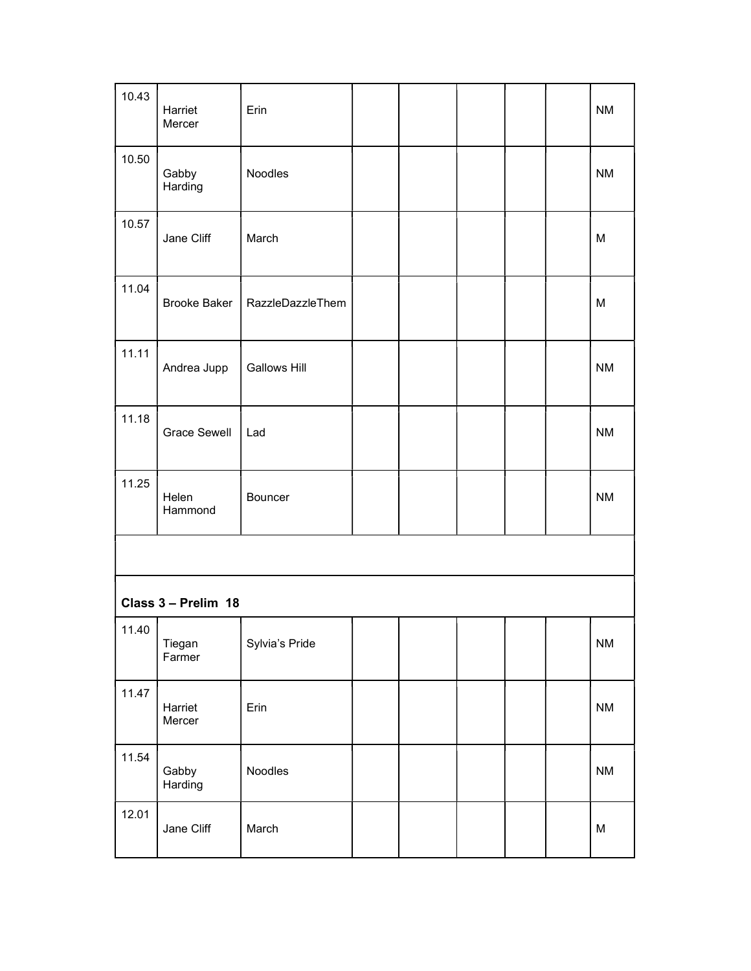| 10.43               | Harriet<br>Mercer   | Erin                |  |  |  |  |  | <b>NM</b>              |
|---------------------|---------------------|---------------------|--|--|--|--|--|------------------------|
| 10.50               | Gabby<br>Harding    | Noodles             |  |  |  |  |  | <b>NM</b>              |
| 10.57               | Jane Cliff          | March               |  |  |  |  |  | M                      |
| 11.04               | <b>Brooke Baker</b> | RazzleDazzleThem    |  |  |  |  |  | M                      |
| 11.11               | Andrea Jupp         | <b>Gallows Hill</b> |  |  |  |  |  | <b>NM</b>              |
| 11.18               | <b>Grace Sewell</b> | Lad                 |  |  |  |  |  | <b>NM</b>              |
| 11.25               | Helen<br>Hammond    | Bouncer             |  |  |  |  |  | <b>NM</b>              |
|                     |                     |                     |  |  |  |  |  |                        |
| Class 3 - Prelim 18 |                     |                     |  |  |  |  |  |                        |
| 11.40               | Tiegan<br>Farmer    | Sylvia's Pride      |  |  |  |  |  | $\mathsf{N}\mathsf{M}$ |
| 11.47               | Harriet<br>Mercer   | Erin                |  |  |  |  |  | <b>NM</b>              |
| 11.54               | Gabby<br>Harding    | Noodles             |  |  |  |  |  | <b>NM</b>              |
| 12.01               | Jane Cliff          | March               |  |  |  |  |  | M                      |